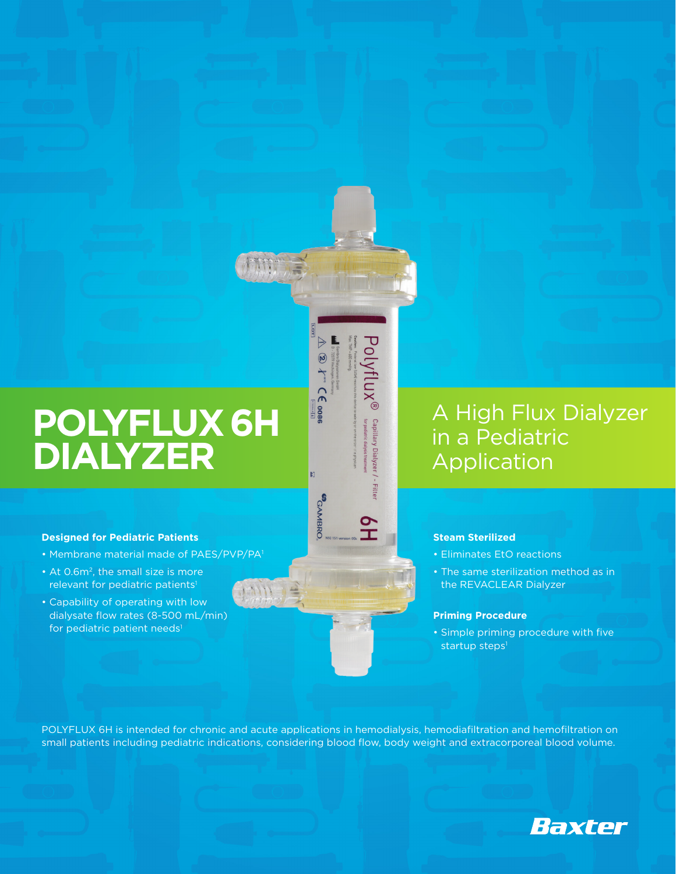## **POLYFLUX 6H DIALYZER**

#### **Designed for Pediatric Patients**

- Membrane material made of PAES/PVP/PA1
- At 0.6m<sup>2</sup>, the small size is more relevant for pediatric patients<sup>1</sup>
- Capability of operating with low dialysate flow rates (8-500 mL/min) for pediatric patient needs<sup>1</sup>

### A High Flux Dialyzer in a Pediatric Application

#### **Steam Sterilized**

- Eliminates EtO reactions
- The same sterilization method as in the REVACLEAR Dialyzer

#### **Priming Procedure**

• Simple priming procedure with five startup steps<sup>1</sup>

POLYFLUX 6H is intended for chronic and acute applications in hemodialysis, hemodiafiltration and hemofiltration on small patients including pediatric indications, considering blood flow, body weight and extracorporeal blood volume.

Polyflux®

Capillary Dialyzer

- Filter

**全** 

 $\circledast$   $f^{\text{wc}}$   $\subset \in$  oose

N.

**CAMBRO**